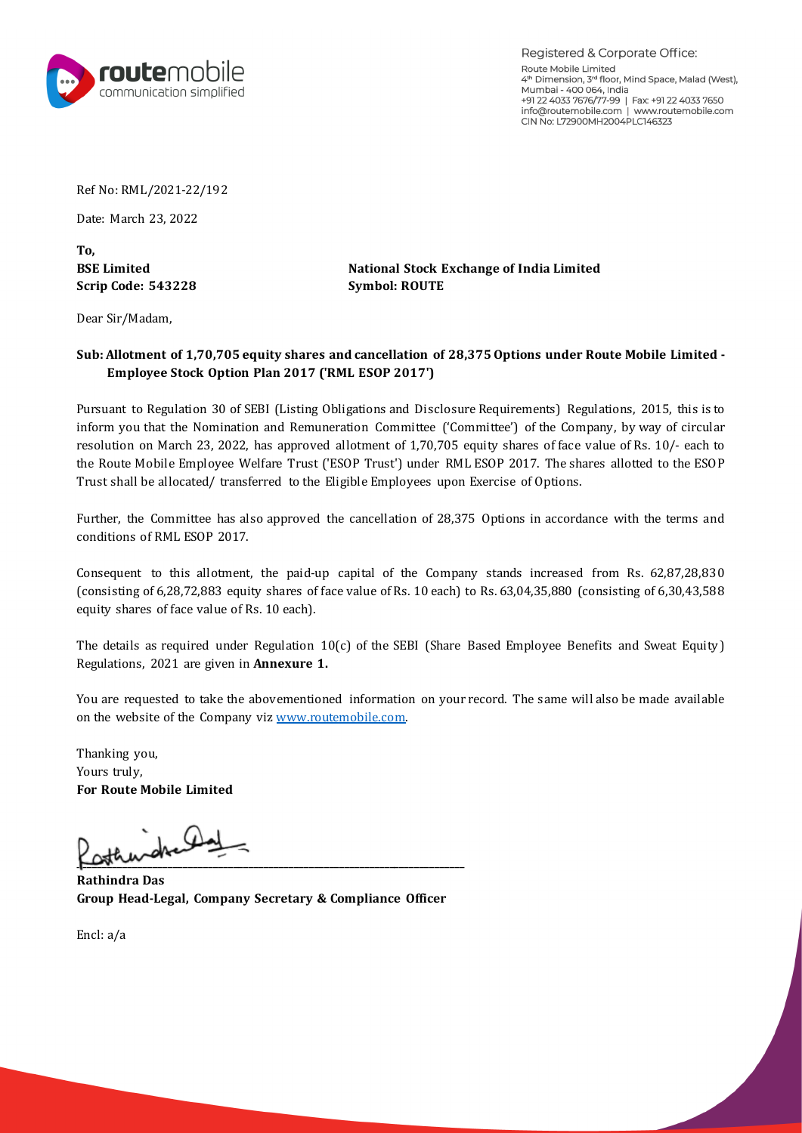

Registered & Corporate Office: Route Mobile Limited 4th Dimension, 3rd floor, Mind Space, Malad (West), Mumbai - 400 064, India +91 22 4033 7676/77-99 | Fax: +91 22 4033 7650 info@routemobile.com | www.routemobile.com CIN No: L72900MH2004PLC146323

Ref No: RML/2021-22/192

Date: March 23, 2022

**To, Scrip Code: 543228 Symbol: ROUTE**

**BSE Limited National Stock Exchange of India Limited**

Dear Sir/Madam,

## **Sub: Allotment of 1,70,705 equity shares and cancellation of 28,375 Options under Route Mobile Limited - Employee Stock Option Plan 2017 ('RML ESOP 2017')**

Pursuant to Regulation 30 of SEBI (Listing Obligations and Disclosure Requirements) Regulations, 2015, this is to inform you that the Nomination and Remuneration Committee ('Committee') of the Company, by way of circular resolution on March 23, 2022, has approved allotment of 1,70,705 equity shares of face value of Rs. 10/- each to the Route Mobile Employee Welfare Trust ('ESOP Trust') under RML ESOP 2017. The shares allotted to the ESO P Trust shall be allocated/ transferred to the Eligible Employees upon Exercise of Options.

Further, the Committee has also approved the cancellation of 28,375 Options in accordance with the terms and conditions of RML ESOP 2017.

Consequent to this allotment, the paid-up capital of the Company stands increased from Rs. 62,87,28,830 (consisting of 6,28,72,883 equity shares of face value of Rs. 10 each) to Rs. 63,04,35,880 (consisting of 6,30,43,588 equity shares of face value of Rs. 10 each).

The details as required under Regulation 10(c) of the SEBI (Share Based Employee Benefits and Sweat Equity) Regulations, 2021 are given in **Annexure 1.**

You are requested to take the abovementioned information on your record. The same will also be made available on the website of the Company vi[z www.routemobile.com.](http://www.routemobile.com/) 

Thanking you, Yours truly, **For Route Mobile Limited**

لعلكمهله **Little definition of the contract of the contract of the contract of the contract of the contract of the contract of the contract of the contract of the contract of the contract of the contract of the contract of the cont** 

**Rathindra Das Group Head-Legal, Company Secretary & Compliance Officer**

Encl: a/a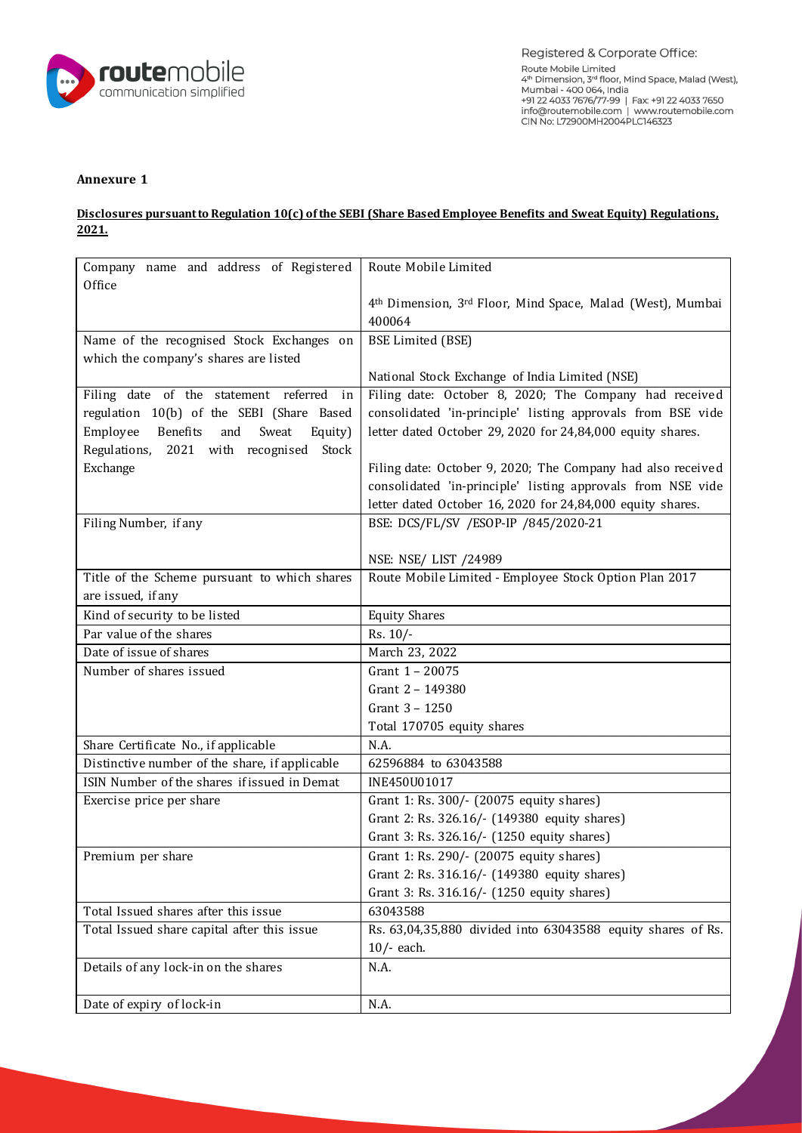

## **Annexure 1**

## **Disclosures pursuant to Regulation 10(c) of the SEBI (Share Based Employee Benefits and Sweat Equity) Regulations, 2021.**

| Company name and address of Registered          | Route Mobile Limited                                                 |
|-------------------------------------------------|----------------------------------------------------------------------|
| Office                                          |                                                                      |
|                                                 | 4th Dimension, 3rd Floor, Mind Space, Malad (West), Mumbai<br>400064 |
| Name of the recognised Stock Exchanges on       |                                                                      |
|                                                 | <b>BSE Limited (BSE)</b>                                             |
| which the company's shares are listed           | National Stock Exchange of India Limited (NSE)                       |
| Filing date of the statement referred<br>in     | Filing date: October 8, 2020; The Company had received               |
| regulation 10(b) of the SEBI (Share Based       | consolidated 'in-principle' listing approvals from BSE vide          |
| Employee<br>Benefits<br>and<br>Sweat<br>Equity) | letter dated October 29, 2020 for 24,84,000 equity shares.           |
| Regulations, 2021 with recognised Stock         |                                                                      |
| Exchange                                        | Filing date: October 9, 2020; The Company had also received          |
|                                                 | consolidated 'in-principle' listing approvals from NSE vide          |
|                                                 | letter dated October 16, 2020 for 24,84,000 equity shares.           |
| Filing Number, if any                           | BSE: DCS/FL/SV /ESOP-IP /845/2020-21                                 |
|                                                 |                                                                      |
|                                                 | NSE: NSE/ LIST /24989                                                |
| Title of the Scheme pursuant to which shares    | Route Mobile Limited - Employee Stock Option Plan 2017               |
| are issued, if any                              |                                                                      |
| Kind of security to be listed                   | <b>Equity Shares</b>                                                 |
| Par value of the shares                         | Rs. 10/-                                                             |
| Date of issue of shares                         | March 23, 2022                                                       |
| Number of shares issued                         | Grant 1 - 20075                                                      |
|                                                 | Grant 2 - 149380                                                     |
|                                                 | Grant 3 - 1250                                                       |
|                                                 | Total 170705 equity shares                                           |
| Share Certificate No., if applicable            | N.A.                                                                 |
| Distinctive number of the share, if applicable  | 62596884 to 63043588                                                 |
| ISIN Number of the shares if issued in Demat    | INE450U01017                                                         |
| Exercise price per share                        | Grant 1: Rs. 300/- (20075 equity shares)                             |
|                                                 | Grant 2: Rs. 326.16/- (149380 equity shares)                         |
|                                                 | Grant 3: Rs. 326.16/- (1250 equity shares)                           |
| Premium per share                               | Grant 1: Rs. 290/- (20075 equity shares)                             |
|                                                 | Grant 2: Rs. 316.16/- (149380 equity shares)                         |
|                                                 | Grant 3: Rs. 316.16/- (1250 equity shares)                           |
| Total Issued shares after this issue            | 63043588                                                             |
| Total Issued share capital after this issue     | Rs. 63,04,35,880 divided into 63043588 equity shares of Rs.          |
|                                                 | $10/-$ each.                                                         |
| Details of any lock-in on the shares            | N.A.                                                                 |
| Date of expiry of lock-in                       | N.A.                                                                 |
|                                                 |                                                                      |